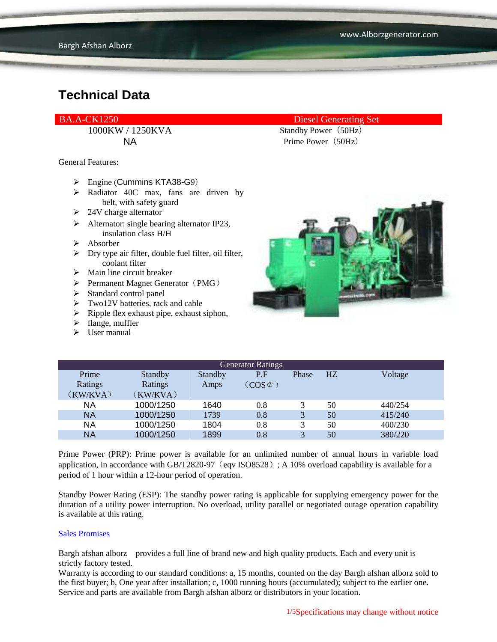NA Prime Power (50Hz)

General Features:

- $\triangleright$  Engine (Cummins KTA38-G9)
- $\triangleright$  Radiator 40C max, fans are driven by belt, with safety guard
- $\geq$  24V charge alternator
- $\triangleright$  Alternator: single bearing alternator IP23, insulation class H/H
- $\triangleright$  Absorber
- $\triangleright$  Dry type air filter, double fuel filter, oil filter, coolant filter
- $\triangleright$  Main line circuit breaker
- $\triangleright$  Permanent Magnet Generator (PMG)
- > Standard control panel
- > Two12V batteries, rack and cable
- $\triangleright$  Ripple flex exhaust pipe, exhaust siphon,
- $\blacktriangleright$  flange, muffler
- $\triangleright$  User manual

#### BA.A-CK1250 Diesel Generating Set 1000KW / 1250KVA Standby Power (50Hz)



| <b>Generator Ratings</b> |                |         |                     |       |    |         |
|--------------------------|----------------|---------|---------------------|-------|----|---------|
| Prime                    | <b>Standby</b> | Standby | P.F                 | Phase | HZ | Voltage |
| Ratings                  | Ratings        | Amps    | $(COS \mathcal{C})$ |       |    |         |
| (KW/KVA)                 | (KW/KVA)       |         |                     |       |    |         |
| <b>NA</b>                | 1000/1250      | 1640    | 0.8                 |       | 50 | 440/254 |
| <b>NA</b>                | 1000/1250      | 1739    | 0.8                 | 3     | 50 | 415/240 |
| <b>NA</b>                | 1000/1250      | 1804    | 0.8                 | 3     | 50 | 400/230 |
| <b>NA</b>                | 1000/1250      | 1899    | 0.8                 | 3     | 50 | 380/220 |

Prime Power (PRP): Prime power is available for an unlimited number of annual hours in variable load application, in accordance with GB/T2820-97 (eqv ISO8528); A 10% overload capability is available for a period of 1 hour within a 12-hour period of operation.

Standby Power Rating (ESP): The standby power rating is applicable for supplying emergency power for the duration of a utility power interruption. No overload, utility parallel or negotiated outage operation capability is available at this rating.

#### Sales Promises

Bargh afshan alborz provides a full line of brand new and high quality products. Each and every unit is strictly factory tested.

Warranty is according to our standard conditions: a, 15 months, counted on the day Bargh afshan alborz sold to the first buyer; b, One year after installation; c, 1000 running hours (accumulated); subject to the earlier one. Service and parts are available from Bargh afshan alborz or distributors in your location.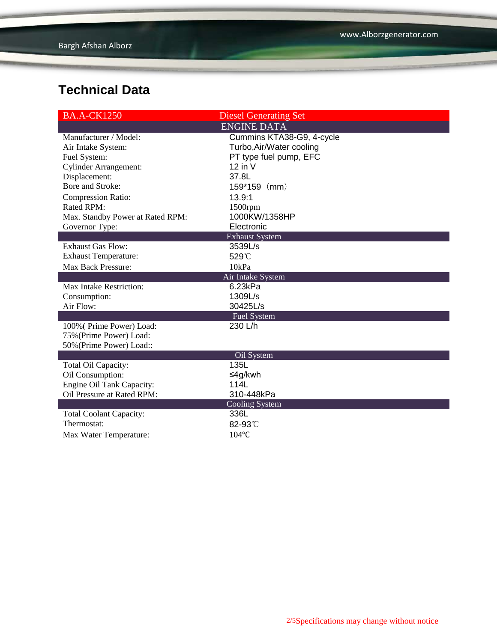| <b>BA.A-CK1250</b>               | <b>Diesel Generating Set</b> |  |  |
|----------------------------------|------------------------------|--|--|
|                                  | <b>ENGINE DATA</b>           |  |  |
| Manufacturer / Model:            | Cummins KTA38-G9, 4-cycle    |  |  |
| Air Intake System:               | Turbo, Air/Water cooling     |  |  |
| Fuel System:                     | PT type fuel pump, EFC       |  |  |
| <b>Cylinder Arrangement:</b>     | $12$ in V                    |  |  |
| Displacement:                    | 37.8L                        |  |  |
| Bore and Stroke:                 | $159*159$ (mm)               |  |  |
| <b>Compression Ratio:</b>        | 13.9:1                       |  |  |
| Rated RPM:                       | 1500rpm                      |  |  |
| Max. Standby Power at Rated RPM: | 1000KW/1358HP                |  |  |
| Governor Type:                   | Electronic                   |  |  |
|                                  | <b>Exhaust System</b>        |  |  |
| <b>Exhaust Gas Flow:</b>         | 3539L/s                      |  |  |
| <b>Exhaust Temperature:</b>      | 529°C                        |  |  |
| <b>Max Back Pressure:</b>        | 10kPa                        |  |  |
| Air Intake System                |                              |  |  |
| Max Intake Restriction:          | 6.23kPa                      |  |  |
| Consumption:                     | 1309L/s                      |  |  |
| Air Flow:                        | 30425L/s                     |  |  |
|                                  | <b>Fuel System</b>           |  |  |
| 100% (Prime Power) Load:         | 230 L/h                      |  |  |
| 75% (Prime Power) Load:          |                              |  |  |
| 50% (Prime Power) Load::         |                              |  |  |
|                                  | Oil System                   |  |  |
| Total Oil Capacity:              | 135L                         |  |  |
| Oil Consumption:                 | ≤4g/kwh                      |  |  |
| Engine Oil Tank Capacity:        | 114L                         |  |  |
| Oil Pressure at Rated RPM:       | 310-448kPa                   |  |  |
|                                  | Cooling System               |  |  |
| <b>Total Coolant Capacity:</b>   | 336L                         |  |  |
| Thermostat:                      | 82-93°C                      |  |  |
| Max Water Temperature:           | $104$ °C                     |  |  |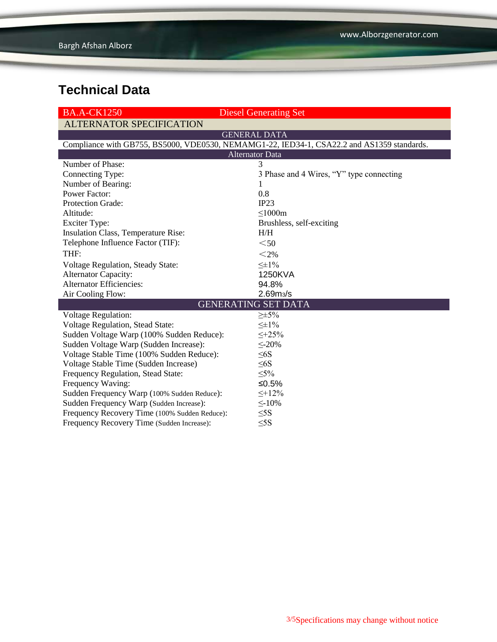| <b>BA.A-CK1250</b>                                                                         | <b>Diesel Generating Set</b>             |  |  |  |  |
|--------------------------------------------------------------------------------------------|------------------------------------------|--|--|--|--|
| <b>ALTERNATOR SPECIFICATION</b>                                                            |                                          |  |  |  |  |
|                                                                                            | <b>GENERAL DATA</b>                      |  |  |  |  |
| Compliance with GB755, BS5000, VDE0530, NEMAMG1-22, IED34-1, CSA22.2 and AS1359 standards. |                                          |  |  |  |  |
| <b>Alternator Data</b>                                                                     |                                          |  |  |  |  |
| Number of Phase:                                                                           | 3                                        |  |  |  |  |
| Connecting Type:                                                                           | 3 Phase and 4 Wires, "Y" type connecting |  |  |  |  |
| Number of Bearing:                                                                         |                                          |  |  |  |  |
| <b>Power Factor:</b>                                                                       | 0.8                                      |  |  |  |  |
| Protection Grade:                                                                          | IP23                                     |  |  |  |  |
| Altitude:                                                                                  | $\leq 1000m$                             |  |  |  |  |
| <b>Exciter Type:</b>                                                                       | Brushless, self-exciting                 |  |  |  |  |
| <b>Insulation Class, Temperature Rise:</b>                                                 | H/H                                      |  |  |  |  |
| Telephone Influence Factor (TIF):                                                          | $50$                                     |  |  |  |  |
| THF:                                                                                       | $<$ 2%                                   |  |  |  |  |
| Voltage Regulation, Steady State:                                                          | $\leq \pm 1\%$                           |  |  |  |  |
| Alternator Capacity:                                                                       | 1250KVA                                  |  |  |  |  |
| <b>Alternator Efficiencies:</b>                                                            | 94.8%                                    |  |  |  |  |
| Air Cooling Flow:                                                                          | 2.69 <sub>ms/s</sub>                     |  |  |  |  |
|                                                                                            | <b>GENERATING SET DATA</b>               |  |  |  |  |
| <b>Voltage Regulation:</b>                                                                 | $\geq \pm 5\%$                           |  |  |  |  |
| <b>Voltage Regulation, Stead State:</b>                                                    | $\leq \pm 1\%$                           |  |  |  |  |
| Sudden Voltage Warp (100% Sudden Reduce):                                                  | $\leq +25\%$                             |  |  |  |  |
| Sudden Voltage Warp (Sudden Increase):                                                     | $\leq 20\%$                              |  |  |  |  |
| Voltage Stable Time (100% Sudden Reduce):                                                  | $\leq 6S$                                |  |  |  |  |
| Voltage Stable Time (Sudden Increase)                                                      | $\leq$ 6S                                |  |  |  |  |
| Frequency Regulation, Stead State:                                                         | $\leq 5\%$                               |  |  |  |  |
| Frequency Waving:                                                                          | ≤0.5%                                    |  |  |  |  |
| Sudden Frequency Warp (100% Sudden Reduce):                                                | $\leq$ +12%                              |  |  |  |  |
| Sudden Frequency Warp (Sudden Increase):                                                   | $\leq$ -10%                              |  |  |  |  |
| Frequency Recovery Time (100% Sudden Reduce):                                              | $\leq$ 5S                                |  |  |  |  |
| Frequency Recovery Time (Sudden Increase):                                                 | $\leq$ 5S                                |  |  |  |  |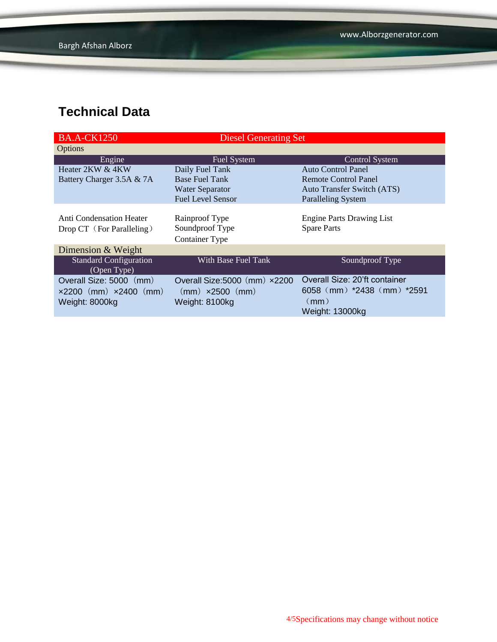| <b>BA.A-CK1250</b>                           | <b>Diesel Generating Set</b>  |                                   |
|----------------------------------------------|-------------------------------|-----------------------------------|
| <b>Options</b>                               |                               |                                   |
| Engine                                       | Fuel System                   | <b>Control System</b>             |
| Heater 2KW & 4KW                             | Daily Fuel Tank               | <b>Auto Control Panel</b>         |
| Battery Charger 3.5A & 7A                    | <b>Base Fuel Tank</b>         | <b>Remote Control Panel</b>       |
|                                              | <b>Water Separator</b>        | <b>Auto Transfer Switch (ATS)</b> |
|                                              | <b>Fuel Level Sensor</b>      | <b>Paralleling System</b>         |
|                                              |                               |                                   |
| Anti Condensation Heater                     | Rainproof Type                | <b>Engine Parts Drawing List</b>  |
| Drop CT (For Paralleling)                    | Soundproof Type               | <b>Spare Parts</b>                |
|                                              | Container Type                |                                   |
| Dimension & Weight                           |                               |                                   |
| <b>Standard Configuration</b><br>(Open Type) | With Base Fuel Tank           | Soundproof Type                   |
| Overall Size: 5000 (mm)                      | Overall Size: 5000 (mm) x2200 | Overall Size: 20'ft container     |
| $\times 2200$ (mm) $\times 2400$ (mm)        | $(mm) \times 2500$ $(mm)$     | 6058 (mm) *2438 (mm) *2591        |
| Weight: 8000kg                               | Weight: 8100kg                | (mm)                              |
|                                              |                               | Weight: 13000kg                   |